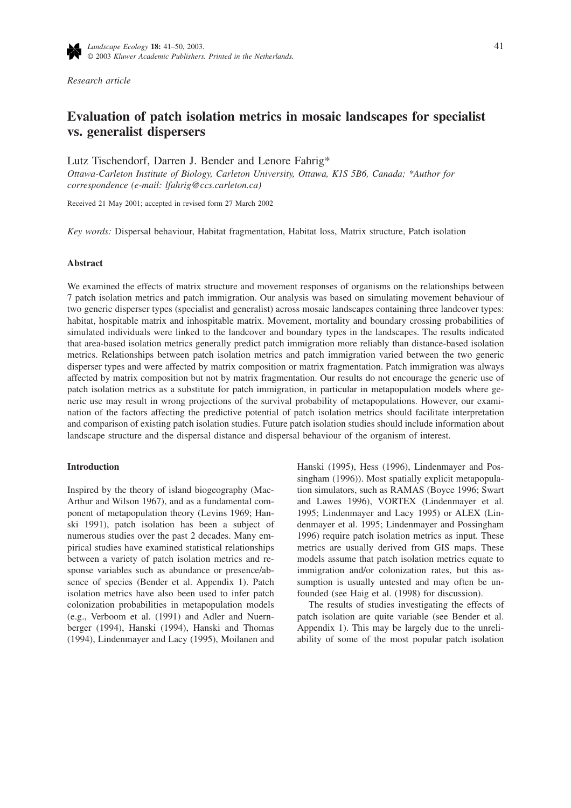

*Research article*

# **Evaluation of patch isolation metrics in mosaic landscapes for specialist vs. generalist dispersers**

Lutz Tischendorf, Darren J. Bender and Lenore Fahrig\*

*Ottawa-Carleton Institute of Biology, Carleton University, Ottawa, K1S 5B6, Canada; \*Author for correspondence (e-mail: lfahrig@ccs.carleton.ca)*

Received 21 May 2001; accepted in revised form 27 March 2002

*Key words:* Dispersal behaviour, Habitat fragmentation, Habitat loss, Matrix structure, Patch isolation

## **Abstract**

We examined the effects of matrix structure and movement responses of organisms on the relationships between 7 patch isolation metrics and patch immigration. Our analysis was based on simulating movement behaviour of two generic disperser types (specialist and generalist) across mosaic landscapes containing three landcover types: habitat, hospitable matrix and inhospitable matrix. Movement, mortality and boundary crossing probabilities of simulated individuals were linked to the landcover and boundary types in the landscapes. The results indicated that area-based isolation metrics generally predict patch immigration more reliably than distance-based isolation metrics. Relationships between patch isolation metrics and patch immigration varied between the two generic disperser types and were affected by matrix composition or matrix fragmentation. Patch immigration was always affected by matrix composition but not by matrix fragmentation. Our results do not encourage the generic use of patch isolation metrics as a substitute for patch immigration, in particular in metapopulation models where generic use may result in wrong projections of the survival probability of metapopulations. However, our examination of the factors affecting the predictive potential of patch isolation metrics should facilitate interpretation and comparison of existing patch isolation studies. Future patch isolation studies should include information about landscape structure and the dispersal distance and dispersal behaviour of the organism of interest.

## **Introduction**

Inspired by the theory of island biogeography (Mac-Arthur and Wilson 1967), and as a fundamental component of metapopulation theory (Levins 1969; Hanski 1991), patch isolation has been a subject of numerous studies over the past 2 decades. Many empirical studies have examined statistical relationships between a variety of patch isolation metrics and response variables such as abundance or presence/absence of species (Bender et al. Appendix 1). Patch isolation metrics have also been used to infer patch colonization probabilities in metapopulation models (e.g., Verboom et al. (1991) and Adler and Nuernberger (1994), Hanski (1994), Hanski and Thomas (1994), Lindenmayer and Lacy (1995), Moilanen and Hanski (1995), Hess (1996), Lindenmayer and Possingham (1996)). Most spatially explicit metapopulation simulators, such as RAMAS (Boyce 1996; Swart and Lawes 1996), VORTEX (Lindenmayer et al. 1995; Lindenmayer and Lacy 1995) or ALEX (Lindenmayer et al. 1995; Lindenmayer and Possingham 1996) require patch isolation metrics as input. These metrics are usually derived from GIS maps. These models assume that patch isolation metrics equate to immigration and/or colonization rates, but this assumption is usually untested and may often be unfounded (see Haig et al. (1998) for discussion).

The results of studies investigating the effects of patch isolation are quite variable (see Bender et al. Appendix 1). This may be largely due to the unreliability of some of the most popular patch isolation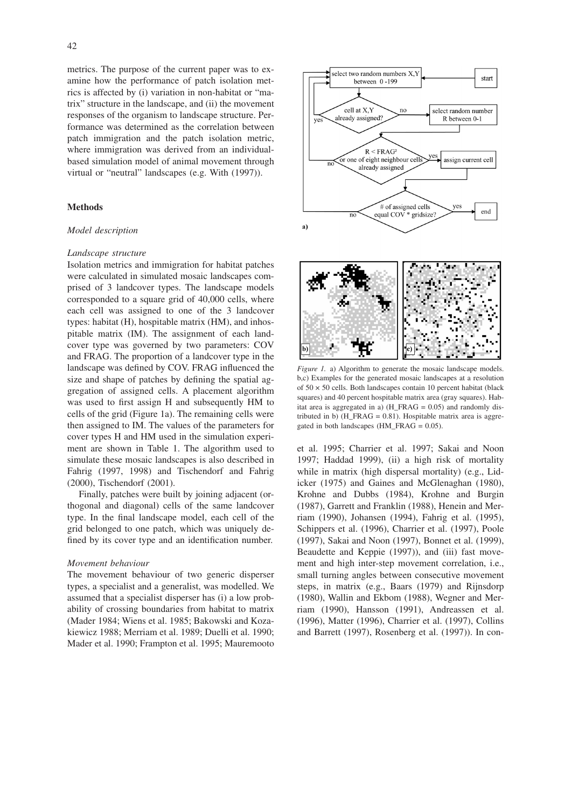metrics. The purpose of the current paper was to examine how the performance of patch isolation metrics is affected by (i) variation in non-habitat or "matrix" structure in the landscape, and (ii) the movement responses of the organism to landscape structure. Performance was determined as the correlation between patch immigration and the patch isolation metric, where immigration was derived from an individualbased simulation model of animal movement through virtual or "neutral" landscapes (e.g. With (1997)).

## **Methods**

## *Model description*

#### *Landscape structure*

Isolation metrics and immigration for habitat patches were calculated in simulated mosaic landscapes comprised of 3 landcover types. The landscape models corresponded to a square grid of 40,000 cells, where each cell was assigned to one of the 3 landcover types: habitat (H), hospitable matrix (HM), and inhospitable matrix (IM). The assignment of each landcover type was governed by two parameters: COV and FRAG. The proportion of a landcover type in the landscape was defined by COV. FRAG influenced the size and shape of patches by defining the spatial aggregation of assigned cells. A placement algorithm was used to first assign H and subsequently HM to cells of the grid (Figure 1a). The remaining cells were then assigned to IM. The values of the parameters for cover types H and HM used in the simulation experiment are shown in Table 1. The algorithm used to simulate these mosaic landscapes is also described in Fahrig (1997, 1998) and Tischendorf and Fahrig (2000), Tischendorf (2001).

Finally, patches were built by joining adjacent (orthogonal and diagonal) cells of the same landcover type. In the final landscape model, each cell of the grid belonged to one patch, which was uniquely defined by its cover type and an identification number.

## *Movement behaviour*

The movement behaviour of two generic disperser types, a specialist and a generalist, was modelled. We assumed that a specialist disperser has (i) a low probability of crossing boundaries from habitat to matrix (Mader 1984; Wiens et al. 1985; Bakowski and Kozakiewicz 1988; Merriam et al. 1989; Duelli et al. 1990; Mader et al. 1990; Frampton et al. 1995; Mauremooto





*Figure 1.* a) Algorithm to generate the mosaic landscape models. b,c) Examples for the generated mosaic landscapes at a resolution of  $50 \times 50$  cells. Both landscapes contain 10 percent habitat (black squares) and 40 percent hospitable matrix area (gray squares). Habitat area is aggregated in a)  $(H_FRAG = 0.05)$  and randomly distributed in b)  $(H_FRAG = 0.81)$ . Hospitable matrix area is aggregated in both landscapes  $(HM_FRAG = 0.05)$ .

et al. 1995; Charrier et al. 1997; Sakai and Noon 1997; Haddad 1999), (ii) a high risk of mortality while in matrix (high dispersal mortality) (e.g., Lidicker (1975) and Gaines and McGlenaghan (1980), Krohne and Dubbs (1984), Krohne and Burgin (1987), Garrett and Franklin (1988), Henein and Merriam (1990), Johansen (1994), Fahrig et al. (1995), Schippers et al. (1996), Charrier et al. (1997), Poole (1997), Sakai and Noon (1997), Bonnet et al. (1999), Beaudette and Keppie (1997)), and (iii) fast movement and high inter-step movement correlation, i.e., small turning angles between consecutive movement steps, in matrix (e.g., Baars (1979) and Rijnsdorp (1980), Wallin and Ekbom (1988), Wegner and Merriam (1990), Hansson (1991), Andreassen et al. (1996), Matter (1996), Charrier et al. (1997), Collins and Barrett (1997), Rosenberg et al. (1997)). In con-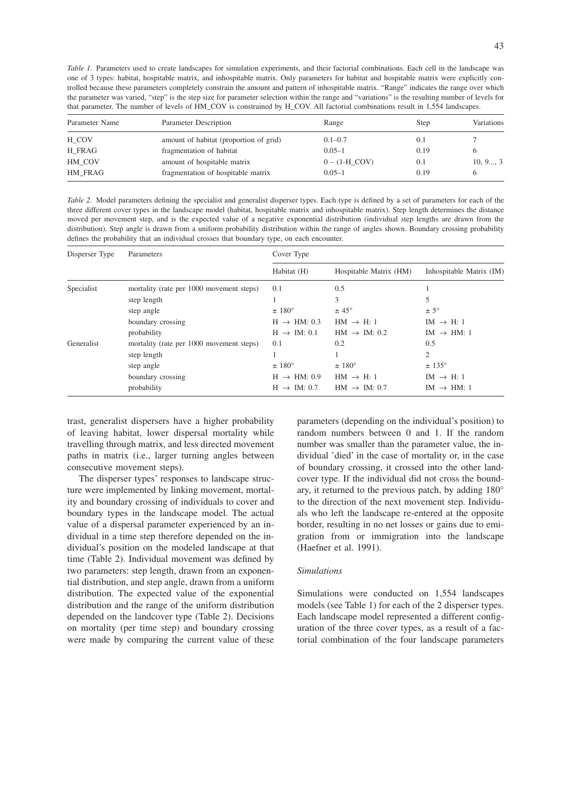*Table 1.* Parameters used to create landscapes for simulation experiments, and their factorial combinations. Each cell in the landscape was one of 3 types: habitat, hospitable matrix, and inhospitable matrix. Only parameters for habitat and hospitable matrix were explicitly controlled because these parameters completely constrain the amount and pattern of inhospitable matrix. "Range" indicates the range over which the parameter was varied, "step" is the step size for parameter selection within the range and "variations" is the resulting number of levels for that parameter. The number of levels of HM\_COV is constrained by H\_COV. All factorial combinations result in 1,554 landscapes.

| Parameter Name | Parameter Description                  | Range           | Step | Variations         |
|----------------|----------------------------------------|-----------------|------|--------------------|
| H_COV          | amount of habitat (proportion of grid) | $0.1 - 0.7$     | 0.1  |                    |
| H FRAG         | fragmentation of habitat               | $0.05 - 1$      | 0.19 |                    |
| HM COV         | amount of hospitable matrix            | $0 - (1-H$ COV) | 0.1  | $10, 9, \ldots, 3$ |
| HM FRAG        | fragmentation of hospitable matrix     | $0.05 - 1$      | 0.19 |                    |

*Table 2.* Model parameters defining the specialist and generalist disperser types. Each type is defined by a set of parameters for each of the three different cover types in the landscape model (habitat, hospitable matrix and inhospitable matrix). Step length determines the distance moved per movement step, and is the expected value of a negative exponential distribution (individual step lengths are drawn from the distribution). Step angle is drawn from a uniform probability distribution within the range of angles shown. Boundary crossing probability defines the probability that an individual crosses that boundary type, on each encounter.

| Disperser Type | Parameters                               | Cover Type              |                          |                          |
|----------------|------------------------------------------|-------------------------|--------------------------|--------------------------|
|                |                                          | Habitat (H)             | Hospitable Matrix (HM)   | Inhospitable Matrix (IM) |
| Specialist     | mortality (rate per 1000 movement steps) | 0.1                     | 0.5                      |                          |
|                | step length                              |                         | 3                        | 5                        |
|                | step angle                               | $\pm 180^\circ$         | $\pm$ 45 $^{\circ}$      | $\pm$ 5°                 |
|                | boundary crossing                        | $H \rightarrow HM: 0.3$ | $HM \rightarrow H: 1$    | $IM \rightarrow H: 1$    |
|                | probability                              | $H \rightarrow IM: 0.1$ | $HM \rightarrow IM: 0.2$ | $IM \rightarrow HM: 1$   |
| Generalist     | mortality (rate per 1000 movement steps) | 0.1                     | 0.2                      | 0.5                      |
|                | step length                              |                         |                          | 2                        |
|                | step angle                               | $\pm 180^\circ$         | $\pm 180^\circ$          | $\pm$ 135 $^{\circ}$     |
|                | boundary crossing                        | $H \rightarrow HM: 0.9$ | $HM \rightarrow H: 1$    | $IM \rightarrow H: 1$    |
|                | probability                              | $H \rightarrow IM: 0.7$ | $HM \rightarrow IM: 0.7$ | $IM \rightarrow HM: 1$   |

trast, generalist dispersers have a higher probability of leaving habitat, lower dispersal mortality while travelling through matrix, and less directed movement paths in matrix (i.e., larger turning angles between consecutive movement steps).

The disperser types' responses to landscape structure were implemented by linking movement, mortality and boundary crossing of individuals to cover and boundary types in the landscape model. The actual value of a dispersal parameter experienced by an individual in a time step therefore depended on the individual's position on the modeled landscape at that time (Table 2). Individual movement was defined by two parameters: step length, drawn from an exponential distribution, and step angle, drawn from a uniform distribution. The expected value of the exponential distribution and the range of the uniform distribution depended on the landcover type (Table 2). Decisions on mortality (per time step) and boundary crossing were made by comparing the current value of these

parameters (depending on the individual's position) to random numbers between 0 and 1. If the random number was smaller than the parameter value, the individual 'died' in the case of mortality or, in the case of boundary crossing, it crossed into the other landcover type. If the individual did not cross the boundary, it returned to the previous patch, by adding 180° to the direction of the next movement step. Individuals who left the landscape re-entered at the opposite border, resulting in no net losses or gains due to emigration from or immigration into the landscape (Haefner et al. 1991).

## *Simulations*

Simulations were conducted on 1,554 landscapes models (see Table 1) for each of the 2 disperser types. Each landscape model represented a different configuration of the three cover types, as a result of a factorial combination of the four landscape parameters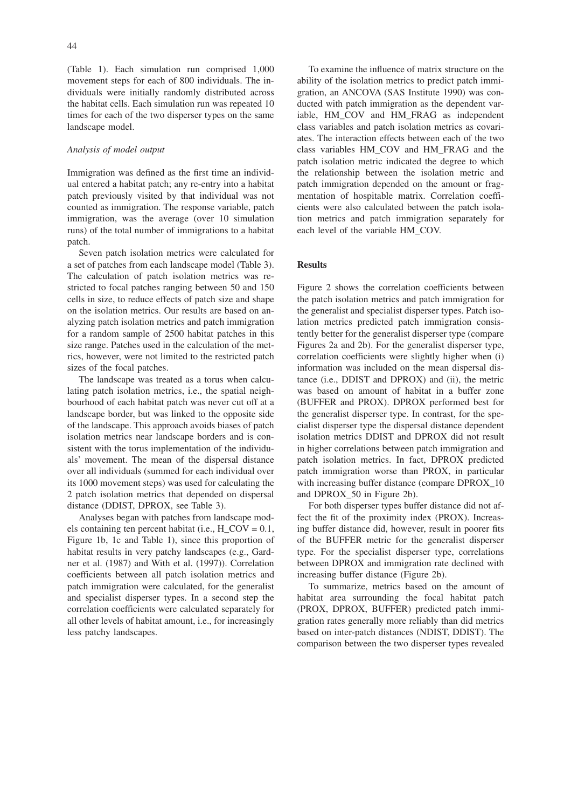(Table 1). Each simulation run comprised 1,000 movement steps for each of 800 individuals. The individuals were initially randomly distributed across the habitat cells. Each simulation run was repeated 10 times for each of the two disperser types on the same landscape model.

## *Analysis of model output*

Immigration was defined as the first time an individual entered a habitat patch; any re-entry into a habitat patch previously visited by that individual was not counted as immigration. The response variable, patch immigration, was the average (over 10 simulation runs) of the total number of immigrations to a habitat patch.

Seven patch isolation metrics were calculated for a set of patches from each landscape model (Table 3). The calculation of patch isolation metrics was restricted to focal patches ranging between 50 and 150 cells in size, to reduce effects of patch size and shape on the isolation metrics. Our results are based on analyzing patch isolation metrics and patch immigration for a random sample of 2500 habitat patches in this size range. Patches used in the calculation of the metrics, however, were not limited to the restricted patch sizes of the focal patches.

The landscape was treated as a torus when calculating patch isolation metrics, i.e., the spatial neighbourhood of each habitat patch was never cut off at a landscape border, but was linked to the opposite side of the landscape. This approach avoids biases of patch isolation metrics near landscape borders and is consistent with the torus implementation of the individuals' movement. The mean of the dispersal distance over all individuals (summed for each individual over its 1000 movement steps) was used for calculating the 2 patch isolation metrics that depended on dispersal distance (DDIST, DPROX, see Table 3).

Analyses began with patches from landscape models containing ten percent habitat (i.e., H\_COV = 0.1, Figure 1b, 1c and Table 1), since this proportion of habitat results in very patchy landscapes (e.g., Gardner et al. (1987) and With et al. (1997)). Correlation coefficients between all patch isolation metrics and patch immigration were calculated, for the generalist and specialist disperser types. In a second step the correlation coefficients were calculated separately for all other levels of habitat amount, i.e., for increasingly less patchy landscapes.

To examine the influence of matrix structure on the ability of the isolation metrics to predict patch immigration, an ANCOVA (SAS Institute 1990) was conducted with patch immigration as the dependent variable, HM\_COV and HM\_FRAG as independent class variables and patch isolation metrics as covariates. The interaction effects between each of the two class variables HM\_COV and HM\_FRAG and the patch isolation metric indicated the degree to which the relationship between the isolation metric and patch immigration depended on the amount or fragmentation of hospitable matrix. Correlation coefficients were also calculated between the patch isolation metrics and patch immigration separately for each level of the variable HM\_COV.

## **Results**

Figure 2 shows the correlation coefficients between the patch isolation metrics and patch immigration for the generalist and specialist disperser types. Patch isolation metrics predicted patch immigration consistently better for the generalist disperser type (compare Figures 2a and 2b). For the generalist disperser type, correlation coefficients were slightly higher when (i) information was included on the mean dispersal distance (i.e., DDIST and DPROX) and (ii), the metric was based on amount of habitat in a buffer zone (BUFFER and PROX). DPROX performed best for the generalist disperser type. In contrast, for the specialist disperser type the dispersal distance dependent isolation metrics DDIST and DPROX did not result in higher correlations between patch immigration and patch isolation metrics. In fact, DPROX predicted patch immigration worse than PROX, in particular with increasing buffer distance (compare DPROX\_10 and DPROX\_50 in Figure 2b).

For both disperser types buffer distance did not affect the fit of the proximity index (PROX). Increasing buffer distance did, however, result in poorer fits of the BUFFER metric for the generalist disperser type. For the specialist disperser type, correlations between DPROX and immigration rate declined with increasing buffer distance (Figure 2b).

To summarize, metrics based on the amount of habitat area surrounding the focal habitat patch (PROX, DPROX, BUFFER) predicted patch immigration rates generally more reliably than did metrics based on inter-patch distances (NDIST, DDIST). The comparison between the two disperser types revealed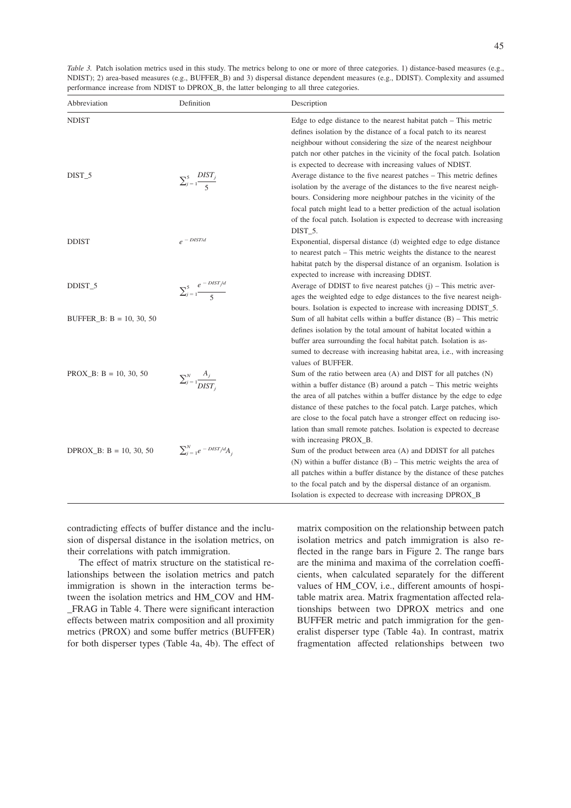| Abbreviation               | Definition                             | Description                                                                                                                                                                                                                                                                                                                                                                                                                                                     |
|----------------------------|----------------------------------------|-----------------------------------------------------------------------------------------------------------------------------------------------------------------------------------------------------------------------------------------------------------------------------------------------------------------------------------------------------------------------------------------------------------------------------------------------------------------|
| <b>NDIST</b>               |                                        | Edge to edge distance to the nearest habitat patch $-$ This metric<br>defines isolation by the distance of a focal patch to its nearest<br>neighbour without considering the size of the nearest neighbour<br>patch nor other patches in the vicinity of the focal patch. Isolation<br>is expected to decrease with increasing values of NDIST.                                                                                                                 |
| DIST <sub>_5</sub>         | $\sum_{j=1}^{5} \frac{DIST_j}{5}$      | Average distance to the five nearest patches – This metric defines<br>isolation by the average of the distances to the five nearest neigh-<br>bours. Considering more neighbour patches in the vicinity of the<br>focal patch might lead to a better prediction of the actual isolation<br>of the focal patch. Isolation is expected to decrease with increasing<br>DIST_5.                                                                                     |
| <b>DDIST</b>               | $e^{-DIST/d}$                          | Exponential, dispersal distance (d) weighted edge to edge distance<br>to nearest patch – This metric weights the distance to the nearest<br>habitat patch by the dispersal distance of an organism. Isolation is<br>expected to increase with increasing DDIST.                                                                                                                                                                                                 |
| DDIST_5                    | $\sum_{j=1}^{5} \frac{e^{-DIST/d}}{5}$ | Average of DDIST to five nearest patches $(j)$ – This metric aver-<br>ages the weighted edge to edge distances to the five nearest neigh-<br>bours. Isolation is expected to increase with increasing DDIST_5.                                                                                                                                                                                                                                                  |
| BUFFER $B: B = 10, 30, 50$ |                                        | Sum of all habitat cells within a buffer distance $(B)$ – This metric<br>defines isolation by the total amount of habitat located within a<br>buffer area surrounding the focal habitat patch. Isolation is as-<br>sumed to decrease with increasing habitat area, i.e., with increasing<br>values of BUFFER.                                                                                                                                                   |
| $PROX_B$ : B = 10, 30, 50  | $\sum_{j=1}^{N} \frac{A_j}{DIST_j}$    | Sum of the ratio between area (A) and DIST for all patches (N)<br>within a buffer distance $(B)$ around a patch $-$ This metric weights<br>the area of all patches within a buffer distance by the edge to edge<br>distance of these patches to the focal patch. Large patches, which<br>are close to the focal patch have a stronger effect on reducing iso-<br>lation than small remote patches. Isolation is expected to decrease<br>with increasing PROX_B. |
| DPROX_B: $B = 10, 30, 50$  | $\sum_{i=1}^{N} e^{-DIST/d}A_i$        | Sum of the product between area (A) and DDIST for all patches<br>(N) within a buffer distance $(B)$ – This metric weights the area of<br>all patches within a buffer distance by the distance of these patches<br>to the focal patch and by the dispersal distance of an organism.<br>Isolation is expected to decrease with increasing DPROX_B                                                                                                                 |

*Table 3.* Patch isolation metrics used in this study. The metrics belong to one or more of three categories. 1) distance-based measures (e.g., NDIST); 2) area-based measures (e.g., BUFFER\_B) and 3) dispersal distance dependent measures (e.g., DDIST). Complexity and assumed performance increase from NDIST to DPROX\_B, the latter belonging to all three categories.

contradicting effects of buffer distance and the inclusion of dispersal distance in the isolation metrics, on their correlations with patch immigration.

The effect of matrix structure on the statistical relationships between the isolation metrics and patch immigration is shown in the interaction terms between the isolation metrics and HM\_COV and HM- \_FRAG in Table 4. There were significant interaction effects between matrix composition and all proximity metrics (PROX) and some buffer metrics (BUFFER) for both disperser types (Table 4a, 4b). The effect of matrix composition on the relationship between patch isolation metrics and patch immigration is also reflected in the range bars in Figure 2. The range bars are the minima and maxima of the correlation coefficients, when calculated separately for the different values of HM\_COV, i.e., different amounts of hospitable matrix area. Matrix fragmentation affected relationships between two DPROX metrics and one BUFFER metric and patch immigration for the generalist disperser type (Table 4a). In contrast, matrix fragmentation affected relationships between two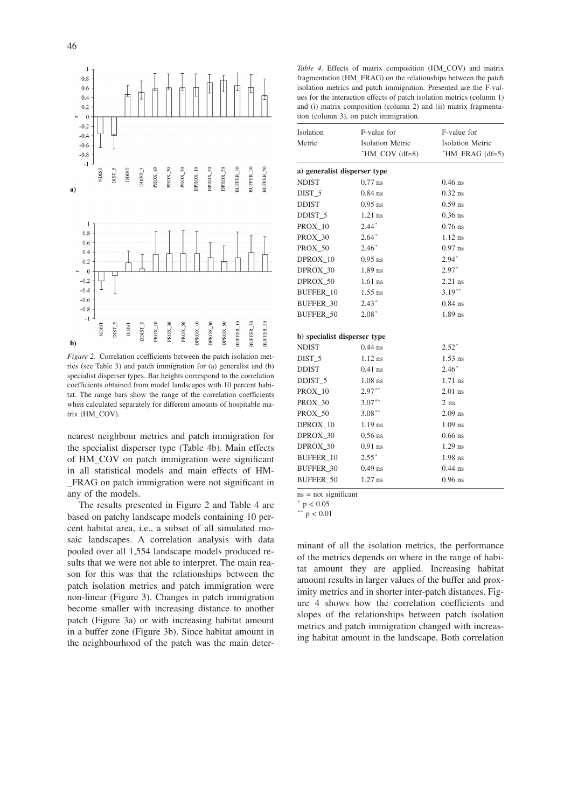

*Figure 2.* Correlation coefficients between the patch isolation metrics (see Table 3) and patch immigration for (a) generalist and (b) specialist disperser types. Bar heights correspond to the correlation coefficients obtained from model landscapes with 10 percent habitat. The range bars show the range of the correlation coefficients when calculated separately for different amounts of hospitable matrix (HM\_COV).

nearest neighbour metrics and patch immigration for the specialist disperser type (Table 4b). Main effects of HM\_COV on patch immigration were significant in all statistical models and main effects of HM- \_FRAG on patch immigration were not significant in any of the models.

The results presented in Figure 2 and Table 4 are based on patchy landscape models containing 10 percent habitat area, i.e., a subset of all simulated mosaic landscapes. A correlation analysis with data pooled over all 1,554 landscape models produced results that we were not able to interpret. The main reason for this was that the relationships between the patch isolation metrics and patch immigration were non-linear (Figure 3). Changes in patch immigration become smaller with increasing distance to another patch (Figure 3a) or with increasing habitat amount in a buffer zone (Figure 3b). Since habitat amount in the neighbourhood of the patch was the main deter-

*Table 4.* Effects of matrix composition (HM\_COV) and matrix fragmentation (HM\_FRAG) on the relationships between the patch isolation metrics and patch immigration. Presented are the F-values for the interaction effects of patch isolation metrics (column 1) and (i) matrix composition (column 2) and (ii) matrix fragmentation (column 3), on patch immigration.

| Isolation<br>Metric          | F-value for<br><b>Isolation Metric</b><br>$H M_COV$ (df=8) | F-value for<br><b>Isolation Metric</b><br>$*HM$ FRAG (df=5) |
|------------------------------|------------------------------------------------------------|-------------------------------------------------------------|
| a) generalist disperser type |                                                            |                                                             |
| <b>NDIST</b>                 | $0.77$ ns                                                  | $0.46$ ns                                                   |
| DIST <sub>5</sub>            | $0.84$ ns                                                  | $0.32$ ns                                                   |
| <b>DDIST</b>                 | $0.95$ ns                                                  | $0.59$ ns                                                   |
| DDIST 5                      | $1.21$ ns                                                  | $0.36$ ns                                                   |
| PROX 10                      | $2.44*$                                                    | $0.76$ ns                                                   |
| PROX_30                      | $2.64*$                                                    | $1.12$ ns                                                   |
| PROX 50                      | $2.46*$                                                    | $0.97$ ns                                                   |
| DPROX_10                     | $0.95$ ns                                                  | $2.94*$                                                     |
| DPROX_30                     | $1.89$ ns                                                  | $2.97*$                                                     |
| DPROX 50                     | $1.61$ ns                                                  | $2.21$ ns                                                   |
| BUFFER_10                    | $1.55$ ns                                                  | $3.19***$                                                   |
| BUFFER_30                    | $2.43*$                                                    | $0.84$ ns                                                   |
| BUFFER_50                    | $2.08*$                                                    | $1.89$ ns                                                   |
| b) specialist disperser type |                                                            |                                                             |
| <b>NDIST</b>                 | $0.44$ ns                                                  | $2.52*$                                                     |
| DIST <sub>_5</sub>           | $1.12$ ns                                                  | $1.53$ ns                                                   |
| DDIST                        | $0.41$ ns                                                  | $2.46*$                                                     |
| DDIST_5                      | $1.08$ ns                                                  | $1.71$ ns                                                   |
| PROX 10                      | $2.97***$                                                  | $2.01$ ns                                                   |
| PROX 30                      | $3.07***$                                                  | $2$ ns                                                      |
| PROX_50                      | $3.08***$                                                  | $2.09$ ns                                                   |
| DPROX_10                     | $1.19$ ns                                                  | $1.09$ ns                                                   |
| DPROX_30                     | $0.56$ ns                                                  | $0.66$ ns                                                   |
| DPROX_50                     | $0.91$ ns                                                  | $1.29$ ns                                                   |
| BUFFER_10                    | $2.55*$                                                    | $1.98$ ns                                                   |
| BUFFER_30                    | $0.49$ ns                                                  | $0.44$ ns                                                   |
| <b>BUFFER_50</b>             | $1.27$ ns                                                  | $0.96$ ns                                                   |

 $ns = not significant$ 

 $p < 0.05$ 

 $*$   $p < 0.01$ 

minant of all the isolation metrics, the performance of the metrics depends on where in the range of habitat amount they are applied. Increasing habitat amount results in larger values of the buffer and proximity metrics and in shorter inter-patch distances. Figure 4 shows how the correlation coefficients and slopes of the relationships between patch isolation metrics and patch immigration changed with increasing habitat amount in the landscape. Both correlation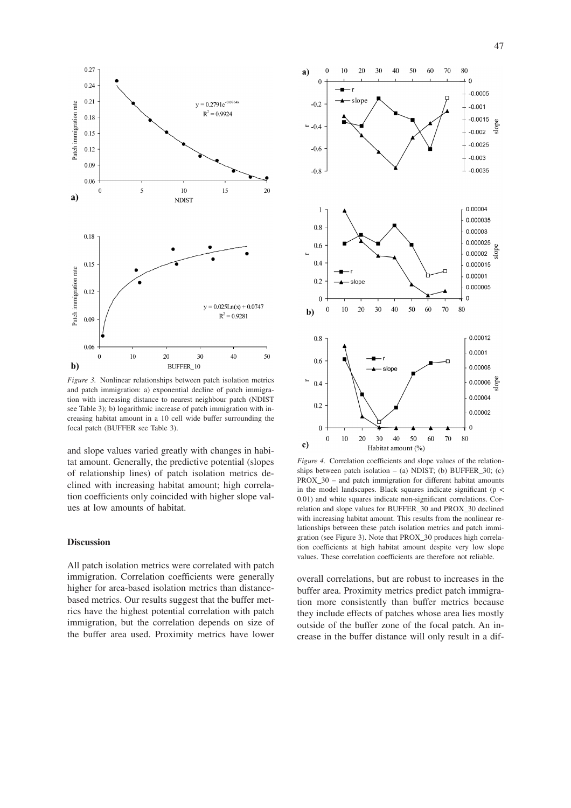

*Figure 3.* Nonlinear relationships between patch isolation metrics and patch immigration: a) exponential decline of patch immigration with increasing distance to nearest neighbour patch (NDIST see Table 3); b) logarithmic increase of patch immigration with increasing habitat amount in a 10 cell wide buffer surrounding the focal patch (BUFFER see Table 3).

and slope values varied greatly with changes in habitat amount. Generally, the predictive potential (slopes of relationship lines) of patch isolation metrics declined with increasing habitat amount; high correlation coefficients only coincided with higher slope values at low amounts of habitat.

## **Discussion**

All patch isolation metrics were correlated with patch immigration. Correlation coefficients were generally higher for area-based isolation metrics than distancebased metrics. Our results suggest that the buffer metrics have the highest potential correlation with patch immigration, but the correlation depends on size of the buffer area used. Proximity metrics have lower



*Figure 4.* Correlation coefficients and slope values of the relationships between patch isolation  $-$  (a) NDIST; (b) BUFFER\_30; (c) PROX\_30 – and patch immigration for different habitat amounts in the model landscapes. Black squares indicate significant ( $p <$ 0.01) and white squares indicate non-significant correlations. Correlation and slope values for BUFFER\_30 and PROX\_30 declined with increasing habitat amount. This results from the nonlinear relationships between these patch isolation metrics and patch immigration (see Figure 3). Note that PROX\_30 produces high correlation coefficients at high habitat amount despite very low slope values. These correlation coefficients are therefore not reliable.

overall correlations, but are robust to increases in the buffer area. Proximity metrics predict patch immigration more consistently than buffer metrics because they include effects of patches whose area lies mostly outside of the buffer zone of the focal patch. An increase in the buffer distance will only result in a dif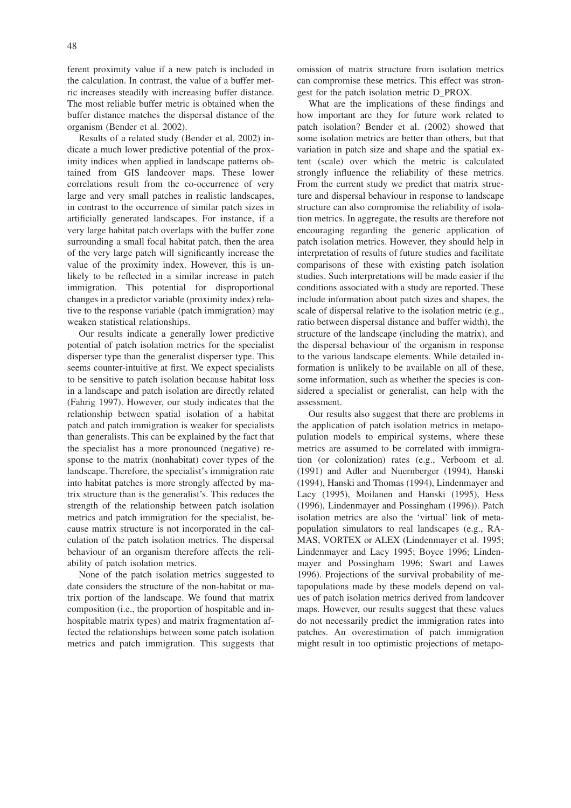ferent proximity value if a new patch is included in the calculation. In contrast, the value of a buffer metric increases steadily with increasing buffer distance. The most reliable buffer metric is obtained when the buffer distance matches the dispersal distance of the organism (Bender et al. 2002).

Results of a related study (Bender et al. 2002) indicate a much lower predictive potential of the proximity indices when applied in landscape patterns obtained from GIS landcover maps. These lower correlations result from the co-occurrence of very large and very small patches in realistic landscapes, in contrast to the occurrence of similar patch sizes in artificially generated landscapes. For instance, if a very large habitat patch overlaps with the buffer zone surrounding a small focal habitat patch, then the area of the very large patch will significantly increase the value of the proximity index. However, this is unlikely to be reflected in a similar increase in patch immigration. This potential for disproportional changes in a predictor variable (proximity index) relative to the response variable (patch immigration) may weaken statistical relationships.

Our results indicate a generally lower predictive potential of patch isolation metrics for the specialist disperser type than the generalist disperser type. This seems counter-intuitive at first. We expect specialists to be sensitive to patch isolation because habitat loss in a landscape and patch isolation are directly related (Fahrig 1997). However, our study indicates that the relationship between spatial isolation of a habitat patch and patch immigration is weaker for specialists than generalists. This can be explained by the fact that the specialist has a more pronounced (negative) response to the matrix (nonhabitat) cover types of the landscape. Therefore, the specialist's immigration rate into habitat patches is more strongly affected by matrix structure than is the generalist's. This reduces the strength of the relationship between patch isolation metrics and patch immigration for the specialist, because matrix structure is not incorporated in the calculation of the patch isolation metrics. The dispersal behaviour of an organism therefore affects the reliability of patch isolation metrics.

None of the patch isolation metrics suggested to date considers the structure of the non-habitat or matrix portion of the landscape. We found that matrix composition (i.e., the proportion of hospitable and inhospitable matrix types) and matrix fragmentation affected the relationships between some patch isolation metrics and patch immigration. This suggests that omission of matrix structure from isolation metrics can compromise these metrics. This effect was strongest for the patch isolation metric D\_PROX.

What are the implications of these findings and how important are they for future work related to patch isolation? Bender et al. (2002) showed that some isolation metrics are better than others, but that variation in patch size and shape and the spatial extent (scale) over which the metric is calculated strongly influence the reliability of these metrics. From the current study we predict that matrix structure and dispersal behaviour in response to landscape structure can also compromise the reliability of isolation metrics. In aggregate, the results are therefore not encouraging regarding the generic application of patch isolation metrics. However, they should help in interpretation of results of future studies and facilitate comparisons of these with existing patch isolation studies. Such interpretations will be made easier if the conditions associated with a study are reported. These include information about patch sizes and shapes, the scale of dispersal relative to the isolation metric (e.g., ratio between dispersal distance and buffer width), the structure of the landscape (including the matrix), and the dispersal behaviour of the organism in response to the various landscape elements. While detailed information is unlikely to be available on all of these, some information, such as whether the species is considered a specialist or generalist, can help with the assessment.

Our results also suggest that there are problems in the application of patch isolation metrics in metapopulation models to empirical systems, where these metrics are assumed to be correlated with immigration (or colonization) rates (e.g., Verboom et al. (1991) and Adler and Nuernberger (1994), Hanski (1994), Hanski and Thomas (1994), Lindenmayer and Lacy (1995), Moilanen and Hanski (1995), Hess (1996), Lindenmayer and Possingham (1996)). Patch isolation metrics are also the 'virtual' link of metapopulation simulators to real landscapes (e.g., RA-MAS, VORTEX or ALEX (Lindenmayer et al. 1995; Lindenmayer and Lacy 1995; Boyce 1996; Lindenmayer and Possingham 1996; Swart and Lawes 1996). Projections of the survival probability of metapopulations made by these models depend on values of patch isolation metrics derived from landcover maps. However, our results suggest that these values do not necessarily predict the immigration rates into patches. An overestimation of patch immigration might result in too optimistic projections of metapo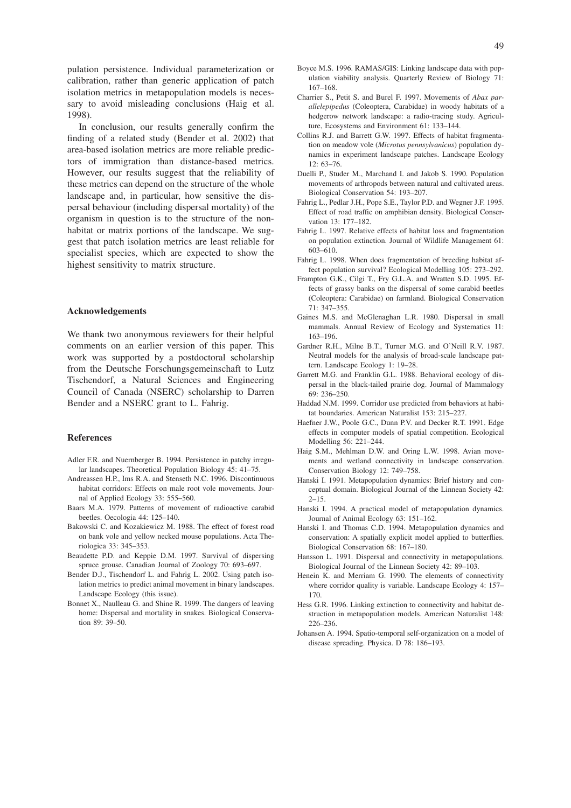pulation persistence. Individual parameterization or calibration, rather than generic application of patch isolation metrics in metapopulation models is necessary to avoid misleading conclusions (Haig et al. 1998).

In conclusion, our results generally confirm the finding of a related study (Bender et al. 2002) that area-based isolation metrics are more reliable predictors of immigration than distance-based metrics. However, our results suggest that the reliability of these metrics can depend on the structure of the whole landscape and, in particular, how sensitive the dispersal behaviour (including dispersal mortality) of the organism in question is to the structure of the nonhabitat or matrix portions of the landscape. We suggest that patch isolation metrics are least reliable for specialist species, which are expected to show the highest sensitivity to matrix structure.

## **Acknowledgements**

We thank two anonymous reviewers for their helpful comments on an earlier version of this paper. This work was supported by a postdoctoral scholarship from the Deutsche Forschungsgemeinschaft to Lutz Tischendorf, a Natural Sciences and Engineering Council of Canada (NSERC) scholarship to Darren Bender and a NSERC grant to L. Fahrig.

#### **References**

- Adler F.R. and Nuernberger B. 1994. Persistence in patchy irregular landscapes. Theoretical Population Biology 45: 41–75.
- Andreassen H.P., Ims R.A. and Stenseth N.C. 1996. Discontinuous habitat corridors: Effects on male root vole movements. Journal of Applied Ecology 33: 555–560.
- Baars M.A. 1979. Patterns of movement of radioactive carabid beetles. Oecologia 44: 125–140.
- Bakowski C. and Kozakiewicz M. 1988. The effect of forest road on bank vole and yellow necked mouse populations. Acta Theriologica 33: 345–353.
- Beaudette P.D. and Keppie D.M. 1997. Survival of dispersing spruce grouse. Canadian Journal of Zoology 70: 693–697.
- Bender D.J., Tischendorf L. and Fahrig L. 2002. Using patch isolation metrics to predict animal movement in binary landscapes. Landscape Ecology (this issue).
- Bonnet X., Naulleau G. and Shine R. 1999. The dangers of leaving home: Dispersal and mortality in snakes. Biological Conservation 89: 39–50.
- Boyce M.S. 1996. RAMAS/GIS: Linking landscape data with population viability analysis. Quarterly Review of Biology 71: 167–168.
- Charrier S., Petit S. and Burel F. 1997. Movements of *Abax parallelepipedus* (Coleoptera, Carabidae) in woody habitats of a hedgerow network landscape: a radio-tracing study. Agriculture, Ecosystems and Environment 61: 133–144.
- Collins R.J. and Barrett G.W. 1997. Effects of habitat fragmentation on meadow vole (*Microtus pennsylvanicus*) population dynamics in experiment landscape patches. Landscape Ecology 12: 63–76.
- Duelli P., Studer M., Marchand I. and Jakob S. 1990. Population movements of arthropods between natural and cultivated areas. Biological Conservation 54: 193–207.
- Fahrig L., Pedlar J.H., Pope S.E., Taylor P.D. and Wegner J.F. 1995. Effect of road traffic on amphibian density. Biological Conservation 13: 177–182.
- Fahrig L. 1997. Relative effects of habitat loss and fragmentation on population extinction. Journal of Wildlife Management 61: 603–610.
- Fahrig L. 1998. When does fragmentation of breeding habitat affect population survival? Ecological Modelling 105: 273–292.
- Frampton G.K., Cilgi T., Fry G.L.A. and Wratten S.D. 1995. Effects of grassy banks on the dispersal of some carabid beetles (Coleoptera: Carabidae) on farmland. Biological Conservation 71: 347–355.
- Gaines M.S. and McGlenaghan L.R. 1980. Dispersal in small mammals. Annual Review of Ecology and Systematics 11: 163–196.
- Gardner R.H., Milne B.T., Turner M.G. and O'Neill R.V. 1987. Neutral models for the analysis of broad-scale landscape pattern. Landscape Ecology 1: 19–28.
- Garrett M.G. and Franklin G.L. 1988. Behavioral ecology of dispersal in the black-tailed prairie dog. Journal of Mammalogy 69: 236–250.
- Haddad N.M. 1999. Corridor use predicted from behaviors at habitat boundaries. American Naturalist 153: 215–227.
- Haefner J.W., Poole G.C., Dunn P.V. and Decker R.T. 1991. Edge effects in computer models of spatial competition. Ecological Modelling 56: 221–244.
- Haig S.M., Mehlman D.W. and Oring L.W. 1998. Avian movements and wetland connectivity in landscape conservation. Conservation Biology 12: 749–758.
- Hanski I. 1991. Metapopulation dynamics: Brief history and conceptual domain. Biological Journal of the Linnean Society 42:  $2 - 15$ .
- Hanski I. 1994. A practical model of metapopulation dynamics. Journal of Animal Ecology 63: 151–162.
- Hanski I. and Thomas C.D. 1994. Metapopulation dynamics and conservation: A spatially explicit model applied to butterflies. Biological Conservation 68: 167–180.
- Hansson L. 1991. Dispersal and connectivity in metapopulations. Biological Journal of the Linnean Society 42: 89–103.
- Henein K. and Merriam G. 1990. The elements of connectivity where corridor quality is variable. Landscape Ecology 4: 157– 170.
- Hess G.R. 1996. Linking extinction to connectivity and habitat destruction in metapopulation models. American Naturalist 148: 226–236.
- Johansen A. 1994. Spatio-temporal self-organization on a model of disease spreading. Physica. D 78: 186–193.